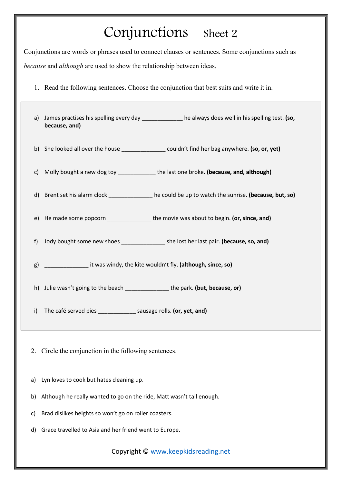## Conjunctions Sheet 2

Conjunctions are words or phrases used to connect clauses or sentences. Some conjunctions such as *because* and *although* are used to show the relationship between ideas.

1. Read the following sentences. Choose the conjunction that best suits and write it in.

| a) | because, and)                                                                     | James practises his spelling every day _____________ he always does well in his spelling test. (so, |
|----|-----------------------------------------------------------------------------------|-----------------------------------------------------------------------------------------------------|
| b) |                                                                                   | She looked all over the house ________________ couldn't find her bag anywhere. (so, or, yet)        |
| C) |                                                                                   | Molly bought a new dog toy ______________the last one broke. (because, and, although)               |
| d) |                                                                                   | Brent set his alarm clock ______________ he could be up to watch the sunrise. (because, but, so)    |
| e) |                                                                                   | He made some popcorn __________________the movie was about to begin. (or, since, and)               |
| f) |                                                                                   | Jody bought some new shoes ___________________ she lost her last pair. (because, so, and)           |
| g) | ______________________ it was windy, the kite wouldn't fly. (although, since, so) |                                                                                                     |
|    | h) Julie wasn't going to the beach _________________the park. (but, because, or)  |                                                                                                     |
| i) | The café served pies ________________ sausage rolls. (or, yet, and)               |                                                                                                     |

- 2. Circle the conjunction in the following sentences.
- a) Lyn loves to cook but hates cleaning up.
- b) Although he really wanted to go on the ride, Matt wasn't tall enough.
- c) Brad dislikes heights so won't go on roller coasters.
- d) Grace travelled to Asia and her friend went to Europe.

Copyright © [www.keepkidsreading.net](http://www.keepkidsreading.net/)